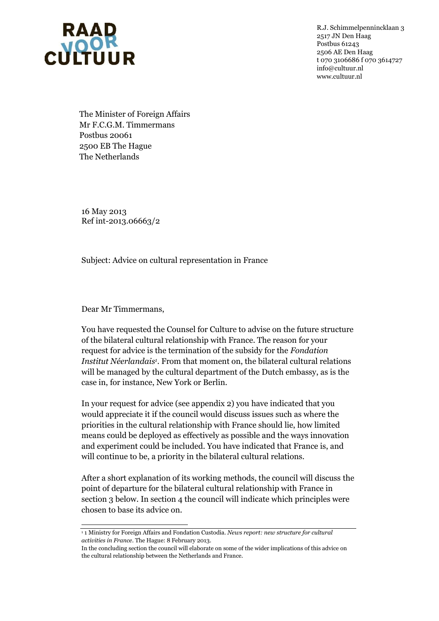

R.J. Schimmelpennincklaan 3 2517 JN Den Haag Postbus 61243 2506 AE Den Haag t 070 3106686 f 070 3614727 info@cultuur.nl www.cultuur.nl

The Minister of Foreign Affairs Mr F.C.G.M. Timmermans Postbus 20061 2500 EB The Hague The Netherlands

16 May 2013 Ref int-2013.06663/2

Subject: Advice on cultural representation in France

Dear Mr Timmermans,

l

You have requested the Counsel for Culture to advise on the future structure of the bilateral cultural relationship with France. The reason for your request for advice is the termination of the subsidy for the *Fondation Institut Néerlandais<sup>1</sup>* . From that moment on, the bilateral cultural relations will be managed by the cultural department of the Dutch embassy, as is the case in, for instance, New York or Berlin.

In your request for advice (see appendix 2) you have indicated that you would appreciate it if the council would discuss issues such as where the priorities in the cultural relationship with France should lie, how limited means could be deployed as effectively as possible and the ways innovation and experiment could be included. You have indicated that France is, and will continue to be, a priority in the bilateral cultural relations.

After a short explanation of its working methods, the council will discuss the point of departure for the bilateral cultural relationship with France in section 3 below. In section 4 the council will indicate which principles were chosen to base its advice on.

<sup>1</sup> 1 Ministry for Foreign Affairs and Fondation Custodia. *News report: new structure for cultural activities in France*. The Hague: 8 February 2013.

In the concluding section the council will elaborate on some of the wider implications of this advice on the cultural relationship between the Netherlands and France.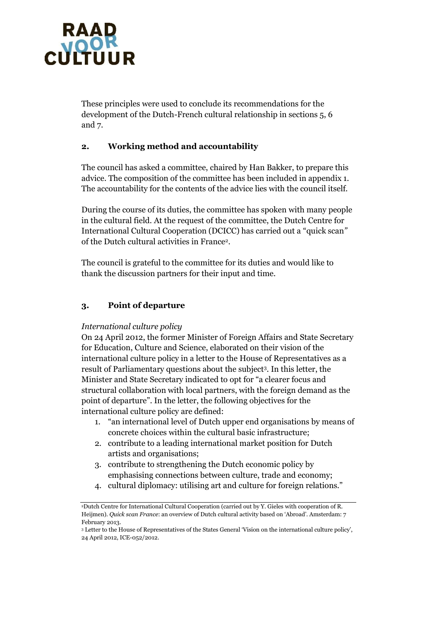

These principles were used to conclude its recommendations for the development of the Dutch-French cultural relationship in sections 5, 6 and 7.

## **2. Working method and accountability**

The council has asked a committee, chaired by Han Bakker, to prepare this advice. The composition of the committee has been included in appendix 1. The accountability for the contents of the advice lies with the council itself.

During the course of its duties, the committee has spoken with many people in the cultural field. At the request of the committee, the Dutch Centre for International Cultural Cooperation (DCICC) has carried out a "quick scan" of the Dutch cultural activities in France<sup>2</sup> .

The council is grateful to the committee for its duties and would like to thank the discussion partners for their input and time.

### **3. Point of departure**

#### *International culture policy*

On 24 April 2012, the former Minister of Foreign Affairs and State Secretary for Education, Culture and Science, elaborated on their vision of the international culture policy in a letter to the House of Representatives as a result of Parliamentary questions about the subject<sup>3</sup>. In this letter, the Minister and State Secretary indicated to opt for "a clearer focus and structural collaboration with local partners, with the foreign demand as the point of departure". In the letter, the following objectives for the international culture policy are defined:

- 1. "an international level of Dutch upper end organisations by means of concrete choices within the cultural basic infrastructure;
- 2. contribute to a leading international market position for Dutch artists and organisations;
- 3. contribute to strengthening the Dutch economic policy by emphasising connections between culture, trade and economy;
- 4. cultural diplomacy: utilising art and culture for foreign relations."

<sup>2</sup>Dutch Centre for International Cultural Cooperation (carried out by Y. Gieles with cooperation of R. Heijmen). *Quick scan France*: an overview of Dutch cultural activity based on 'Abroad'. Amsterdam: 7 February 2013.

<sup>3</sup> Letter to the House of Representatives of the States General ‗Vision on the international culture policy', 24 April 2012, ICE-052/2012.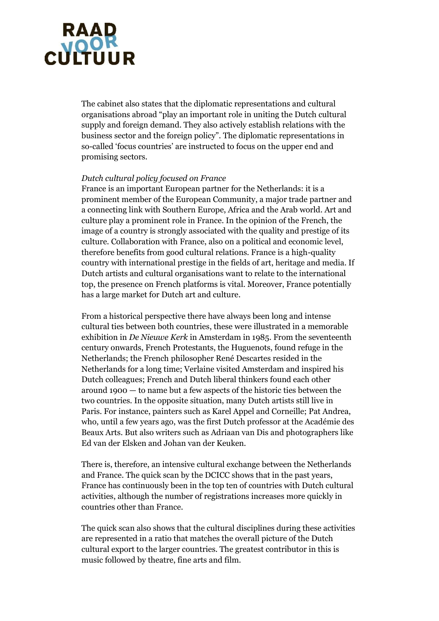# RAAR<br>CULTUUR

The cabinet also states that the diplomatic representations and cultural organisations abroad "play an important role in uniting the Dutch cultural supply and foreign demand. They also actively establish relations with the business sector and the foreign policy". The diplomatic representations in so-called ‗focus countries' are instructed to focus on the upper end and promising sectors.

#### *Dutch cultural policy focused on France*

France is an important European partner for the Netherlands: it is a prominent member of the European Community, a major trade partner and a connecting link with Southern Europe, Africa and the Arab world. Art and culture play a prominent role in France. In the opinion of the French, the image of a country is strongly associated with the quality and prestige of its culture. Collaboration with France, also on a political and economic level, therefore benefits from good cultural relations. France is a high-quality country with international prestige in the fields of art, heritage and media. If Dutch artists and cultural organisations want to relate to the international top, the presence on French platforms is vital. Moreover, France potentially has a large market for Dutch art and culture.

From a historical perspective there have always been long and intense cultural ties between both countries, these were illustrated in a memorable exhibition in *De Nieuwe Kerk* in Amsterdam in 1985. From the seventeenth century onwards, French Protestants, the Huguenots, found refuge in the Netherlands; the French philosopher René Descartes resided in the Netherlands for a long time; Verlaine visited Amsterdam and inspired his Dutch colleagues; French and Dutch liberal thinkers found each other around 1900 — to name but a few aspects of the historic ties between the two countries. In the opposite situation, many Dutch artists still live in Paris. For instance, painters such as Karel Appel and Corneille; Pat Andrea, who, until a few years ago, was the first Dutch professor at the Académie des Beaux Arts. But also writers such as Adriaan van Dis and photographers like Ed van der Elsken and Johan van der Keuken.

There is, therefore, an intensive cultural exchange between the Netherlands and France. The quick scan by the DCICC shows that in the past years, France has continuously been in the top ten of countries with Dutch cultural activities, although the number of registrations increases more quickly in countries other than France.

The quick scan also shows that the cultural disciplines during these activities are represented in a ratio that matches the overall picture of the Dutch cultural export to the larger countries. The greatest contributor in this is music followed by theatre, fine arts and film.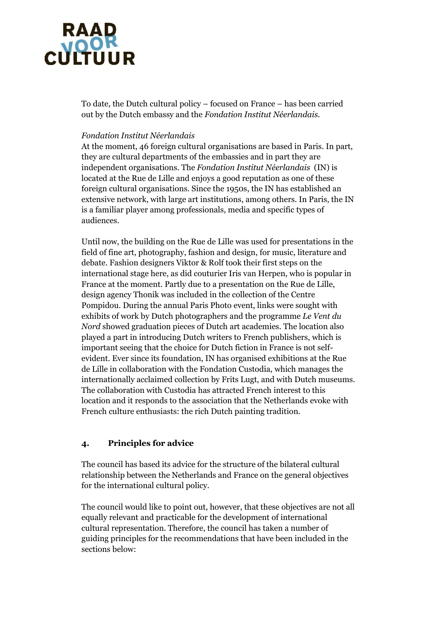# RAAR<br>CULTUUR

To date, the Dutch cultural policy – focused on France – has been carried out by the Dutch embassy and the *Fondation Institut Néerlandais.*

### *Fondation Institut Néerlandais*

At the moment, 46 foreign cultural organisations are based in Paris. In part, they are cultural departments of the embassies and in part they are independent organisations. The *Fondation Institut Néerlandais* (IN) is located at the Rue de Lille and enjoys a good reputation as one of these foreign cultural organisations. Since the 1950s, the IN has established an extensive network, with large art institutions, among others. In Paris, the IN is a familiar player among professionals, media and specific types of audiences.

Until now, the building on the Rue de Lille was used for presentations in the field of fine art, photography, fashion and design, for music, literature and debate. Fashion designers Viktor & Rolf took their first steps on the international stage here, as did couturier Iris van Herpen, who is popular in France at the moment. Partly due to a presentation on the Rue de Lille, design agency Thonik was included in the collection of the Centre Pompidou. During the annual Paris Photo event, links were sought with exhibits of work by Dutch photographers and the programme *Le Vent du Nord* showed graduation pieces of Dutch art academies. The location also played a part in introducing Dutch writers to French publishers, which is important seeing that the choice for Dutch fiction in France is not selfevident. Ever since its foundation, IN has organised exhibitions at the Rue de Lille in collaboration with the Fondation Custodia, which manages the internationally acclaimed collection by Frits Lugt, and with Dutch museums. The collaboration with Custodia has attracted French interest to this location and it responds to the association that the Netherlands evoke with French culture enthusiasts: the rich Dutch painting tradition.

# **4. Principles for advice**

The council has based its advice for the structure of the bilateral cultural relationship between the Netherlands and France on the general objectives for the international cultural policy.

The council would like to point out, however, that these objectives are not all equally relevant and practicable for the development of international cultural representation. Therefore, the council has taken a number of guiding principles for the recommendations that have been included in the sections below: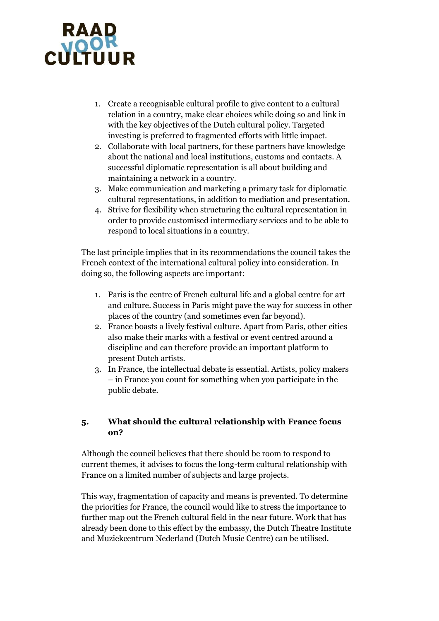

- 1. Create a recognisable cultural profile to give content to a cultural relation in a country, make clear choices while doing so and link in with the key objectives of the Dutch cultural policy. Targeted investing is preferred to fragmented efforts with little impact.
- 2. Collaborate with local partners, for these partners have knowledge about the national and local institutions, customs and contacts. A successful diplomatic representation is all about building and maintaining a network in a country.
- 3. Make communication and marketing a primary task for diplomatic cultural representations, in addition to mediation and presentation.
- 4. Strive for flexibility when structuring the cultural representation in order to provide customised intermediary services and to be able to respond to local situations in a country.

The last principle implies that in its recommendations the council takes the French context of the international cultural policy into consideration. In doing so, the following aspects are important:

- 1. Paris is the centre of French cultural life and a global centre for art and culture. Success in Paris might pave the way for success in other places of the country (and sometimes even far beyond).
- 2. France boasts a lively festival culture. Apart from Paris, other cities also make their marks with a festival or event centred around a discipline and can therefore provide an important platform to present Dutch artists.
- 3. In France, the intellectual debate is essential. Artists, policy makers – in France you count for something when you participate in the public debate.

## **5. What should the cultural relationship with France focus on?**

Although the council believes that there should be room to respond to current themes, it advises to focus the long-term cultural relationship with France on a limited number of subjects and large projects.

This way, fragmentation of capacity and means is prevented. To determine the priorities for France, the council would like to stress the importance to further map out the French cultural field in the near future. Work that has already been done to this effect by the embassy, the Dutch Theatre Institute and Muziekcentrum Nederland (Dutch Music Centre) can be utilised.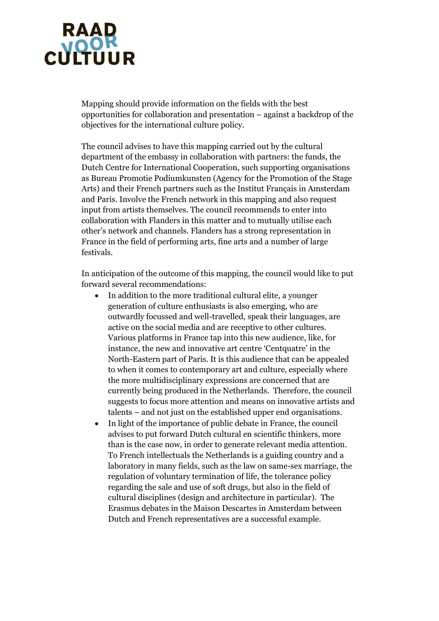

Mapping should provide information on the fields with the best opportunities for collaboration and presentation – against a backdrop of the objectives for the international culture policy.

The council advises to have this mapping carried out by the cultural department of the embassy in collaboration with partners: the funds, the Dutch Centre for International Cooperation, such supporting organisations as Bureau Promotie Podiumkunsten (Agency for the Promotion of the Stage Arts) and their French partners such as the Institut Français in Amsterdam and Paris. Involve the French network in this mapping and also request input from artists themselves. The council recommends to enter into collaboration with Flanders in this matter and to mutually utilise each other's network and channels. Flanders has a strong representation in France in the field of performing arts, fine arts and a number of large festivals.

In anticipation of the outcome of this mapping, the council would like to put forward several recommendations:

- In addition to the more traditional cultural elite, a younger generation of culture enthusiasts is also emerging, who are outwardly focussed and well-travelled, speak their languages, are active on the social media and are receptive to other cultures. Various platforms in France tap into this new audience, like, for instance, the new and innovative art centre 'Centquatre' in the North-Eastern part of Paris. It is this audience that can be appealed to when it comes to contemporary art and culture, especially where the more multidisciplinary expressions are concerned that are currently being produced in the Netherlands. Therefore, the council suggests to focus more attention and means on innovative artists and talents – and not just on the established upper end organisations.
- In light of the importance of public debate in France, the council advises to put forward Dutch cultural en scientific thinkers, more than is the case now, in order to generate relevant media attention. To French intellectuals the Netherlands is a guiding country and a laboratory in many fields, such as the law on same-sex marriage, the regulation of voluntary termination of life, the tolerance policy regarding the sale and use of soft drugs, but also in the field of cultural disciplines (design and architecture in particular). The Erasmus debates in the Maison Descartes in Amsterdam between Dutch and French representatives are a successful example.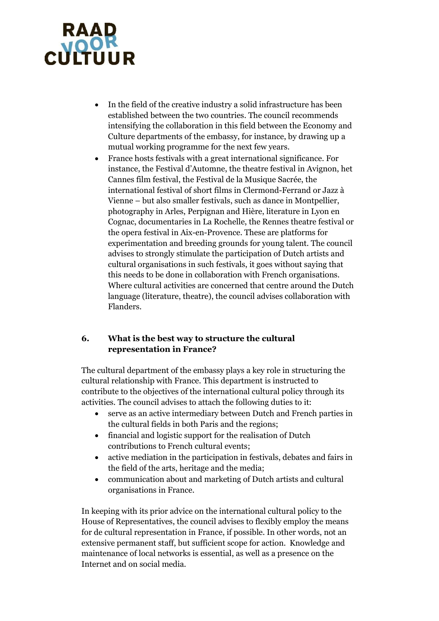

- In the field of the creative industry a solid infrastructure has been established between the two countries. The council recommends intensifying the collaboration in this field between the Economy and Culture departments of the embassy, for instance, by drawing up a mutual working programme for the next few years.
- France hosts festivals with a great international significance. For instance, the Festival d'Automne, the theatre festival in Avignon, het Cannes film festival, the Festival de la Musique Sacrée, the international festival of short films in Clermond-Ferrand or Jazz à Vienne – but also smaller festivals, such as dance in Montpellier, photography in Arles, Perpignan and Hière, literature in Lyon en Cognac, documentaries in La Rochelle, the Rennes theatre festival or the opera festival in Aix-en-Provence. These are platforms for experimentation and breeding grounds for young talent. The council advises to strongly stimulate the participation of Dutch artists and cultural organisations in such festivals, it goes without saying that this needs to be done in collaboration with French organisations. Where cultural activities are concerned that centre around the Dutch language (literature, theatre), the council advises collaboration with Flanders.

# **6. What is the best way to structure the cultural representation in France?**

The cultural department of the embassy plays a key role in structuring the cultural relationship with France. This department is instructed to contribute to the objectives of the international cultural policy through its activities. The council advises to attach the following duties to it:

- serve as an active intermediary between Dutch and French parties in the cultural fields in both Paris and the regions;
- financial and logistic support for the realisation of Dutch contributions to French cultural events;
- active mediation in the participation in festivals, debates and fairs in the field of the arts, heritage and the media;
- communication about and marketing of Dutch artists and cultural organisations in France.

In keeping with its prior advice on the international cultural policy to the House of Representatives, the council advises to flexibly employ the means for de cultural representation in France, if possible. In other words, not an extensive permanent staff, but sufficient scope for action. Knowledge and maintenance of local networks is essential, as well as a presence on the Internet and on social media.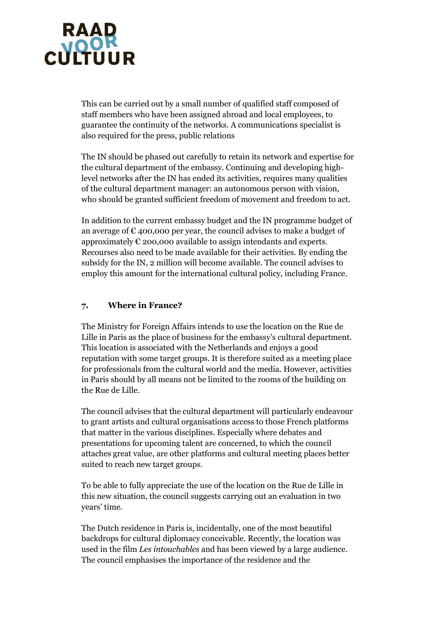

This can be carried out by a small number of qualified staff composed of staff members who have been assigned abroad and local employees, to guarantee the continuity of the networks. A communications specialist is also required for the press, public relations

The IN should be phased out carefully to retain its network and expertise for the cultural department of the embassy. Continuing and developing highlevel networks after the IN has ended its activities, requires many qualities of the cultural department manager: an autonomous person with vision, who should be granted sufficient freedom of movement and freedom to act.

In addition to the current embassy budget and the IN programme budget of an average of  $\epsilon$  400,000 per year, the council advises to make a budget of approximately  $\epsilon$  200,000 available to assign intendants and experts. Recourses also need to be made available for their activities. By ending the subsidy for the IN, 2 million will become available. The council advises to employ this amount for the international cultural policy, including France.

#### **7. Where in France?**

The Ministry for Foreign Affairs intends to use the location on the Rue de Lille in Paris as the place of business for the embassy's cultural department. This location is associated with the Netherlands and enjoys a good reputation with some target groups. It is therefore suited as a meeting place for professionals from the cultural world and the media. However, activities in Paris should by all means not be limited to the rooms of the building on the Rue de Lille.

The council advises that the cultural department will particularly endeavour to grant artists and cultural organisations access to those French platforms that matter in the various disciplines. Especially where debates and presentations for upcoming talent are concerned, to which the council attaches great value, are other platforms and cultural meeting places better suited to reach new target groups.

To be able to fully appreciate the use of the location on the Rue de Lille in this new situation, the council suggests carrying out an evaluation in two years' time.

The Dutch residence in Paris is, incidentally, one of the most beautiful backdrops for cultural diplomacy conceivable. Recently, the location was used in the film *Les intouchables* and has been viewed by a large audience. The council emphasises the importance of the residence and the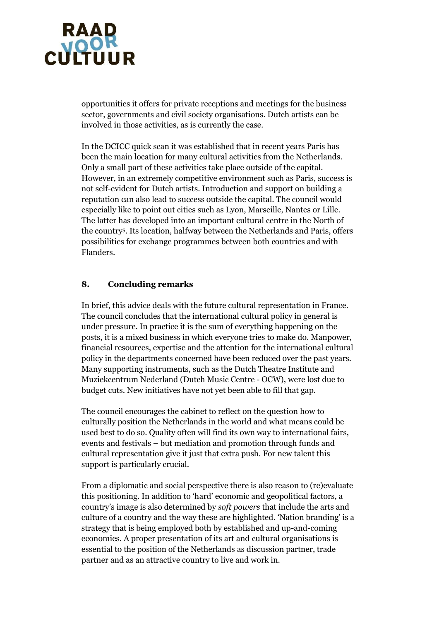

opportunities it offers for private receptions and meetings for the business sector, governments and civil society organisations. Dutch artists can be involved in those activities, as is currently the case.

In the DCICC quick scan it was established that in recent years Paris has been the main location for many cultural activities from the Netherlands. Only a small part of these activities take place outside of the capital. However, in an extremely competitive environment such as Paris, success is not self-evident for Dutch artists. Introduction and support on building a reputation can also lead to success outside the capital. The council would especially like to point out cities such as Lyon, Marseille, Nantes or Lille. The latter has developed into an important cultural centre in the North of the country<sup>5</sup> . Its location, halfway between the Netherlands and Paris, offers possibilities for exchange programmes between both countries and with Flanders.

### **8. Concluding remarks**

In brief, this advice deals with the future cultural representation in France. The council concludes that the international cultural policy in general is under pressure. In practice it is the sum of everything happening on the posts, it is a mixed business in which everyone tries to make do. Manpower, financial resources, expertise and the attention for the international cultural policy in the departments concerned have been reduced over the past years. Many supporting instruments, such as the Dutch Theatre Institute and Muziekcentrum Nederland (Dutch Music Centre - OCW), were lost due to budget cuts. New initiatives have not yet been able to fill that gap.

The council encourages the cabinet to reflect on the question how to culturally position the Netherlands in the world and what means could be used best to do so. Quality often will find its own way to international fairs, events and festivals – but mediation and promotion through funds and cultural representation give it just that extra push. For new talent this support is particularly crucial.

From a diplomatic and social perspective there is also reason to (re)evaluate this positioning. In addition to 'hard' economic and geopolitical factors, a country's image is also determined by *soft powers* that include the arts and culture of a country and the way these are highlighted. 'Nation branding' is a strategy that is being employed both by established and up-and-coming economies. A proper presentation of its art and cultural organisations is essential to the position of the Netherlands as discussion partner, trade partner and as an attractive country to live and work in.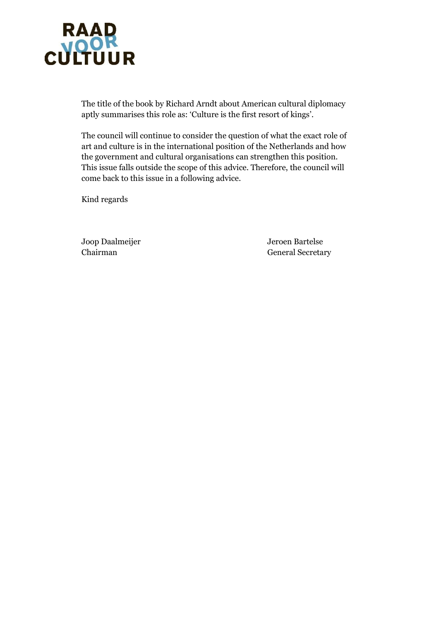

The title of the book by Richard Arndt about American cultural diplomacy aptly summarises this role as: 'Culture is the first resort of kings'.

The council will continue to consider the question of what the exact role of art and culture is in the international position of the Netherlands and how the government and cultural organisations can strengthen this position. This issue falls outside the scope of this advice. Therefore, the council will come back to this issue in a following advice.

Kind regards

Joop Daalmeijer Jeroen Bartelse

Chairman General Secretary